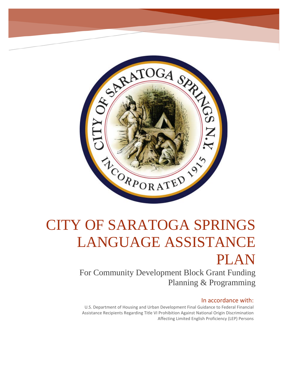

# CITY OF SARATOGA SPRINGS LANGUAGE ASSISTANCE PLAN

For Community Development Block Grant Funding Planning & Programming

# In accordance with:

U.S. Department of Housing and Urban Development Final Guidance to Federal Financial Assistance Recipients Regarding Title VI Prohibition Against National Origin Discrimination Affecting Limited English Proficiency (LEP) Persons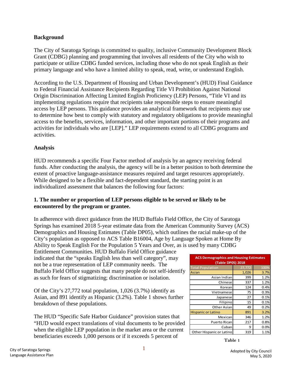# **Background**

The City of Saratoga Springs is committed to quality, inclusive Community Development Block Grant (CDBG) planning and programming that involves all residents of the City who wish to participate or utilize CDBG funded services, including those who do not speak English as their primary language and who have a limited ability to speak, read, write, or understand English.

According to the U.S. Department of Housing and Urban Development's (HUD) Final Guidance to Federal Financial Assistance Recipients Regarding Title VI Prohibition Against National Origin Discrimination Affecting Limited English Proficiency (LEP) Persons, "Title VI and its implementing regulations require that recipients take responsible steps to ensure meaningful access by LEP persons. This guidance provides an analytical framework that recipients may use to determine how best to comply with statutory and regulatory obligations to provide meaningful access to the benefits, services, information, and other important portions of their programs and activities for individuals who are [LEP]." LEP requirements extend to all CDBG programs and activities.

# **Analysis**

HUD recommends a specific Four Factor method of analysis by an agency receiving federal funds. After conducting the analysis, the agency will be in a better position to both determine the extent of proactive language-assistance measures required and target resources appropriately. While designed to be a flexible and fact-dependent standard, the starting point is an individualized assessment that balances the following four factors:

#### **1. The number or proportion of LEP persons eligible to be served or likely to be encountered by the program or grantee.**

In adherence with direct guidance from the HUD Buffalo Field Office, the City of Saratoga Springs has examined 2018 5-year estimate data from the American Community Survey (ACS) Demographics and Housing Estimates (Table DP05), which outlines the racial make-up of the City's population as opposed to ACS Table B16004, Age by Language Spoken at Home By Ability to Speak English For the Population 5 Years and Over, as is used by many CDBG

Entitlement Communities. HUD Buffalo Field Office guidance indicated that the "speaks English less than well category", may not be a true representation of LEP community needs. The Buffalo Field Office suggests that many people do not self-identify as such for fears of stigmatizing; discrimination or isolation.

Of the City's 27,772 total population, 1,026 (3.7%) identify as Asian, and 891 identify as Hispanic (3.2%). Table 1 shows further breakdown of these populations.

The HUD "Specific Safe Harbor Guidance" provision states that "HUD would expect translations of vital documents to be provided when the eligible LEP population in the market area or the current beneficiaries exceeds 1,000 persons or if it exceeds 5 percent of **Table 1** 

| <b>ACS Demographics and Housing Estimates</b><br><b>(Table DP05) 2018</b> |        |      |
|---------------------------------------------------------------------------|--------|------|
| <b>Total Population</b>                                                   | 27,772 | 100% |
| Asian                                                                     | 1,026  | 3.7% |
| Asian Indian                                                              | 399    | 1.2% |
| Chinese                                                                   | 337    | 1.2% |
| Korean                                                                    | 124    | 0.4% |
| Vietnamese                                                                | 75     | 0.3% |
| Japanese                                                                  | 27     | 0.1% |
| Filipino                                                                  | 15     | 0.1% |
| Other Asian                                                               | 49     | 0.2% |
| <b>Hispanic or Latino</b>                                                 | 891    | 3.2% |
| Mexican                                                                   | 346    | 1.2% |
| Puerto Rican                                                              | 217    | 0.8% |
| Cuban                                                                     | 9      | 0.0% |
| Other Hispanic or Latino                                                  | 319    | 1.1% |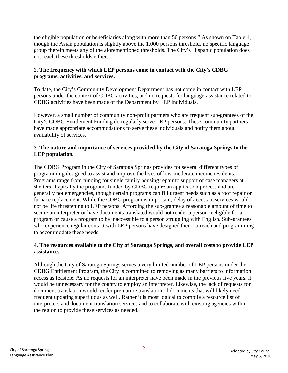the eligible population or beneficiaries along with more than 50 persons." As shown on Table 1, though the Asian population is slightly above the 1,000 persons threshold, no specific language group therein meets any of the aforementioned thresholds. The City's Hispanic population does not reach these thresholds either.

### **2. The frequency with which LEP persons come in contact with the City's CDBG programs, activities, and services.**

To date, the City's Community Development Department has not come in contact with LEP persons under the context of CDBG activities, and no requests for language-assistance related to CDBG activities have been made of the Department by LEP individuals.

However, a small number of community non-profit partners who are frequent sub-grantees of the City's CDBG Entitlement Funding do regularly serve LEP persons. These community partners have made appropriate accommodations to serve these individuals and notify them about availability of services.

## **3. The nature and importance of services provided by the City of Saratoga Springs to the LEP population.**

The CDBG Program in the City of Saratoga Springs provides for several different types of programming designed to assist and improve the lives of low-moderate income residents. Programs range from funding for single family housing repair to support of case managers at shelters. Typically the programs funded by CDBG require an application process and are generally not emergencies, though certain programs can fill urgent needs such as a roof repair or furnace replacement. While the CDBG program is important, delay of access to services would not be life threatening to LEP persons. Affording the sub-grantee a reasonable amount of time to secure an interpreter or have documents translated would not render a person ineligible for a program or cause a program to be inaccessible to a person struggling with English. Sub-grantees who experience regular contact with LEP persons have designed their outreach and programming to accommodate these needs.

# **4. The resources available to the City of Saratoga Springs, and overall costs to provide LEP assistance.**

Although the City of Saratoga Springs serves a very limited number of LEP persons under the CDBG Entitlement Program, the City is committed to removing as many barriers to information access as feasible. As no requests for an interpreter have been made in the previous five years, it would be unnecessary for the county to employ an interpreter. Likewise, the lack of requests for document translation would render premature translation of documents that will likely need frequent updating superfluous as well. Rather it is most logical to compile a resource list of interpreters and document translation services and to collaborate with existing agencies within the region to provide these services as needed.